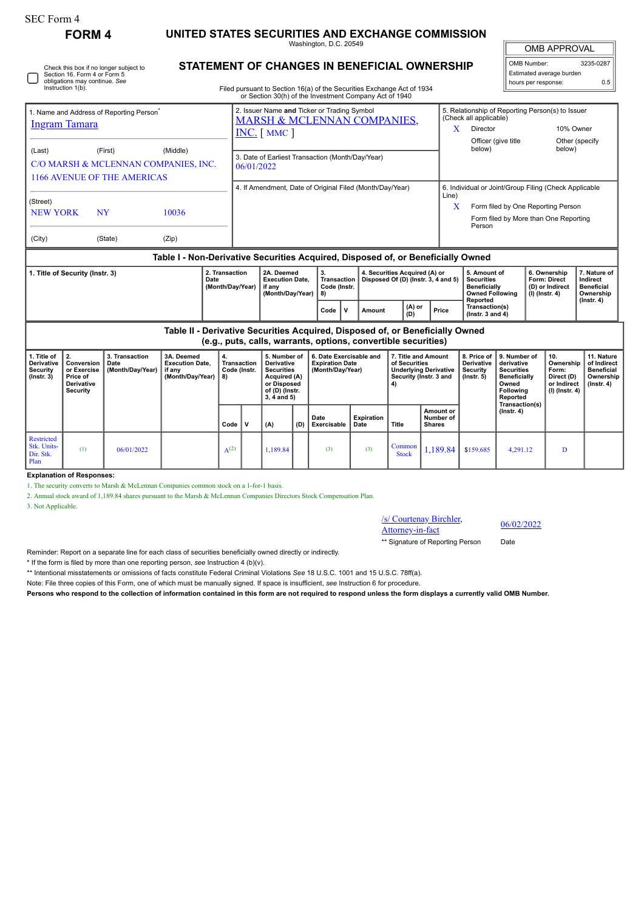| SEC Form 4                                                                                                                   | <b>FORM 4</b>                                                         |                                            | UNITED STATES SECURITIES AND EXCHANGE COMMISSION                                          |                                    |                                                                                                                            |                                                                                                                                                                                                                   |     |                                                                |                           |                                                                                                                                                              |                                                                               |                                                                                                                                                   |                                                                                                                                   |                                                                                                           |                                                                          |                                                                                 |
|------------------------------------------------------------------------------------------------------------------------------|-----------------------------------------------------------------------|--------------------------------------------|-------------------------------------------------------------------------------------------|------------------------------------|----------------------------------------------------------------------------------------------------------------------------|-------------------------------------------------------------------------------------------------------------------------------------------------------------------------------------------------------------------|-----|----------------------------------------------------------------|---------------------------|--------------------------------------------------------------------------------------------------------------------------------------------------------------|-------------------------------------------------------------------------------|---------------------------------------------------------------------------------------------------------------------------------------------------|-----------------------------------------------------------------------------------------------------------------------------------|-----------------------------------------------------------------------------------------------------------|--------------------------------------------------------------------------|---------------------------------------------------------------------------------|
| Check this box if no longer subject to<br>Section 16. Form 4 or Form 5<br>obligations may continue. See<br>Instruction 1(b). |                                                                       |                                            |                                                                                           |                                    |                                                                                                                            | Washington, D.C. 20549<br><b>STATEMENT OF CHANGES IN BENEFICIAL OWNERSHIP</b><br>Filed pursuant to Section 16(a) of the Securities Exchange Act of 1934<br>or Section 30(h) of the Investment Company Act of 1940 |     |                                                                |                           |                                                                                                                                                              |                                                                               |                                                                                                                                                   |                                                                                                                                   | <b>OMB APPROVAL</b><br>OMB Number:<br>3235-0287<br>Estimated average burden<br>hours per response:<br>0.5 |                                                                          |                                                                                 |
| 1. Name and Address of Reporting Person <sup>®</sup><br><b>Ingram Tamara</b>                                                 |                                                                       |                                            |                                                                                           |                                    | 2. Issuer Name and Ticker or Trading Symbol<br><b>MARSH &amp; MCLENNAN COMPANIES,</b><br>$INC.$ [ MMC ]                    |                                                                                                                                                                                                                   |     |                                                                |                           |                                                                                                                                                              |                                                                               | 5. Relationship of Reporting Person(s) to Issuer<br>(Check all applicable)<br>10% Owner<br>X<br>Director<br>Officer (give title<br>Other (specify |                                                                                                                                   |                                                                                                           |                                                                          |                                                                                 |
| (Middle)<br>(Last)<br>(First)<br>C/O MARSH & MCLENNAN COMPANIES, INC.<br>1166 AVENUE OF THE AMERICAS                         |                                                                       |                                            |                                                                                           |                                    | 3. Date of Earliest Transaction (Month/Day/Year)<br>06/01/2022<br>4. If Amendment, Date of Original Filed (Month/Day/Year) |                                                                                                                                                                                                                   |     |                                                                |                           |                                                                                                                                                              |                                                                               | below)                                                                                                                                            |                                                                                                                                   |                                                                                                           | below)                                                                   |                                                                                 |
| (Street)<br><b>NEW YORK</b>                                                                                                  | <b>NY</b>                                                             | 10036                                      |                                                                                           |                                    |                                                                                                                            |                                                                                                                                                                                                                   |     |                                                                |                           | 6. Individual or Joint/Group Filing (Check Applicable<br>Line)<br>Form filed by One Reporting Person<br>X<br>Form filed by More than One Reporting<br>Person |                                                                               |                                                                                                                                                   |                                                                                                                                   |                                                                                                           |                                                                          |                                                                                 |
| (City)                                                                                                                       |                                                                       | (State)                                    | (Zip)<br>Table I - Non-Derivative Securities Acquired, Disposed of, or Beneficially Owned |                                    |                                                                                                                            |                                                                                                                                                                                                                   |     |                                                                |                           |                                                                                                                                                              |                                                                               |                                                                                                                                                   |                                                                                                                                   |                                                                                                           |                                                                          |                                                                                 |
| 1. Title of Security (Instr. 3)<br>Date                                                                                      |                                                                       |                                            |                                                                                           | 2. Transaction<br>(Month/Day/Year) | 2A. Deemed<br><b>Execution Date.</b><br>if any<br>(Month/Day/Year)                                                         |                                                                                                                                                                                                                   |     | 3.<br>Transaction<br>Code (Instr.<br>8)                        |                           | 4. Securities Acquired (A) or<br>Disposed Of (D) (Instr. 3, 4 and 5)                                                                                         |                                                                               | 5. Amount of<br><b>Securities</b><br><b>Beneficially</b><br><b>Owned Following</b>                                                                |                                                                                                                                   |                                                                                                           | 6. Ownership<br>Form: Direct<br>(D) or Indirect<br>(I) (Instr. 4)        | 7. Nature of<br>Indirect<br><b>Beneficial</b><br>Ownership                      |
|                                                                                                                              |                                                                       |                                            |                                                                                           |                                    |                                                                                                                            |                                                                                                                                                                                                                   |     | $\mathbf{v}$<br>Code                                           | Amount                    | (A) or<br>(D)                                                                                                                                                | Price                                                                         | Reported<br>Transaction(s)<br>$($ lnstr. 3 and 4 $)$                                                                                              |                                                                                                                                   |                                                                                                           |                                                                          | $($ lnstr. 4 $)$                                                                |
|                                                                                                                              |                                                                       |                                            | Table II - Derivative Securities Acquired, Disposed of, or Beneficially Owned             |                                    |                                                                                                                            |                                                                                                                                                                                                                   |     | (e.g., puts, calls, warrants, options, convertible securities) |                           |                                                                                                                                                              |                                                                               |                                                                                                                                                   |                                                                                                                                   |                                                                                                           |                                                                          |                                                                                 |
| 1. Title of<br>Derivative<br>Security<br>$($ Instr. 3 $)$                                                                    | 2.<br>Conversion<br>or Exercise<br>Price of<br>Derivative<br>Security | 3. Transaction<br>Date<br>(Month/Day/Year) | 3A. Deemed<br><b>Execution Date,</b><br>if any<br>(Month/Day/Year)                        | 4.<br>8)                           | <b>Transaction</b><br>Code (Instr.                                                                                         | 5. Number of<br><b>Derivative</b><br><b>Securities</b><br>Acquired (A)<br>or Disposed<br>of (D) (Instr.<br>3, 4 and 5)                                                                                            |     | <b>Expiration Date</b><br>(Month/Day/Year)                     | 6. Date Exercisable and   | of Securities<br>4)                                                                                                                                          | 7. Title and Amount<br><b>Underlying Derivative</b><br>Security (Instr. 3 and | 8. Price of<br><b>Derivative</b><br>Security<br>$($ Instr. 5 $)$                                                                                  | 9. Number of<br>derivative<br><b>Securities</b><br><b>Beneficially</b><br>Owned<br><b>Following</b><br>Reported<br>Transaction(s) |                                                                                                           | 10.<br>Ownership<br>Form:<br>Direct (D)<br>or Indirect<br>(I) (Instr. 4) | 11. Nature<br>of Indirect<br><b>Beneficial</b><br>Ownership<br>$($ Instr. 4 $)$ |
|                                                                                                                              |                                                                       |                                            |                                                                                           | Code                               | v                                                                                                                          | (A)                                                                                                                                                                                                               | (D) | Date<br>Exercisable                                            | <b>Expiration</b><br>Date | Title                                                                                                                                                        | Amount or<br>Number of<br><b>Shares</b>                                       |                                                                                                                                                   | $($ Instr. 4 $)$                                                                                                                  |                                                                                                           |                                                                          |                                                                                 |
| <b>Restricted</b><br>Stk. Units-<br>Dir. Stk.<br>Plan                                                                        | (1)                                                                   | 06/01/2022                                 |                                                                                           | $A^{(2)}$                          |                                                                                                                            | 1.189.84                                                                                                                                                                                                          |     | (3)                                                            | (3)                       | Common<br><b>Stock</b>                                                                                                                                       | 1.189.84                                                                      | \$159.685                                                                                                                                         | 4.291.12                                                                                                                          |                                                                                                           | D                                                                        |                                                                                 |

**Explanation of Responses:**

1. The security converts to Marsh & McLennan Companies common stock on a 1-for-1 basis.

2. Annual stock award of 1,189.84 shares pursuant to the Marsh & McLennan Companies Directors Stock Compensation Plan.

3. Not Applicable.

/s/ Courtenay Birchler,  $\frac{\text{S} \cdot \text{C} \cdot \text{C} \cdot \text{C} \cdot \text{C} \cdot \text{C} \cdot \text{C}}{ \text{Attorney-in-factor}}$  06/02/2022

\*\* Signature of Reporting Person Date

Reminder: Report on a separate line for each class of securities beneficially owned directly or indirectly.

\* If the form is filed by more than one reporting person, *see* Instruction 4 (b)(v).

\*\* Intentional misstatements or omissions of facts constitute Federal Criminal Violations *See* 18 U.S.C. 1001 and 15 U.S.C. 78ff(a).

Note: File three copies of this Form, one of which must be manually signed. If space is insufficient, *see* Instruction 6 for procedure.

**Persons who respond to the collection of information contained in this form are not required to respond unless the form displays a currently valid OMB Number.**